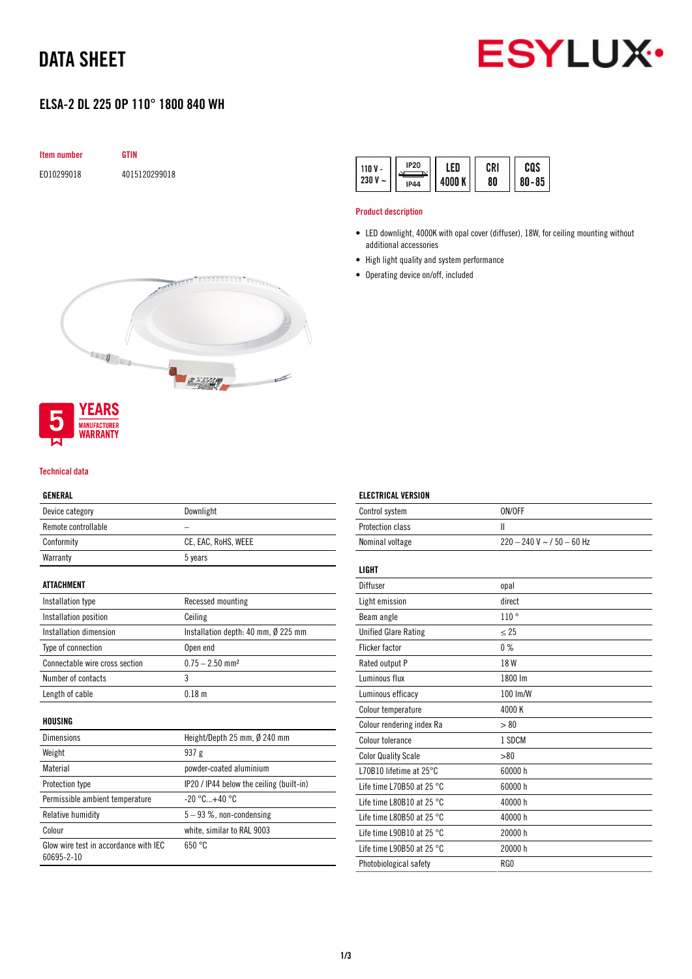# DATA SHEET



## ELSA-2 DL 225 OP 110° 1800 840 WH





#### Technical data

#### GENERAL

| Device category                 | Downlight                                |
|---------------------------------|------------------------------------------|
| Remote controllable             |                                          |
| Conformity                      | CE, EAC, RoHS, WEEE                      |
| Warranty                        | 5 years                                  |
| ATTACHMENT                      |                                          |
| Installation type               | Recessed mounting                        |
| Installation position           | Ceiling                                  |
| Installation dimension          | Installation depth: 40 mm, Ø 225 mm      |
| Type of connection              | Open end                                 |
| Connectable wire cross section  | $0.75 - 2.50$ mm <sup>2</sup>            |
| Number of contacts              | 3                                        |
| Length of cable                 | 0.18 m                                   |
| HOUSING                         |                                          |
| <b>Dimensions</b>               | Height/Depth 25 mm, $\emptyset$ 240 mm   |
| Weight                          | 937 <sub>g</sub>                         |
| Material                        | powder-coated aluminium                  |
| Protection type                 | IP20 / IP44 below the ceiling (built-in) |
| Permissible ambient temperature | $-20 °C+40 °C$                           |
| $\cdots$                        | 0 <sub>0</sub>                           |

Relative humidity  $5 - 93$  %, non-condensing Colour white, similar to RAL 9003 Glow wire test in accordance with IEC 60695-2-10 650 °C

| 110 V<br>230 V<br>$\tilde{}$ | <b>IP20</b><br><b>IP44</b> | ED<br>4000 K | CRI<br>80 | cos<br>$80 - 85$ |
|------------------------------|----------------------------|--------------|-----------|------------------|
|------------------------------|----------------------------|--------------|-----------|------------------|

#### Product description

- LED downlight, 4000K with opal cover (diffuser), 18W, for ceiling mounting without additional accessories
- High light quality and system performance
- Operating device on/off, included

| Control system                      | ON/OFF                        |
|-------------------------------------|-------------------------------|
| Protection class                    | Ш                             |
| Nominal voltage                     | $220 - 240$ V ~ $/50 - 60$ Hz |
|                                     |                               |
| <b>LIGHT</b>                        |                               |
| Diffuser                            | opal                          |
| Light emission                      | direct                        |
| Beam angle                          | 110°                          |
| <b>Unified Glare Rating</b>         | $\leq$ 25                     |
| <b>Flicker factor</b>               | $0\%$                         |
| Rated output P                      | 18 W                          |
| Luminous flux                       | 1800 lm                       |
| Luminous efficacy                   | 100 lm/W                      |
| Colour temperature                  | 4000K                         |
| Colour rendering index Ra           | > 80                          |
| Colour tolerance                    | 1 SDCM                        |
| <b>Color Quality Scale</b>          | > 80                          |
| L70B10 lifetime at 25°C             | 60000 h                       |
| Life time L70B50 at 25 $^{\circ}$ C | 60000 h                       |
| Life time L80B10 at 25 $^{\circ}$ C | 40000 h                       |
| Life time L80B50 at 25 $^{\circ}$ C | 40000 h                       |
| Life time L90B10 at 25 $^{\circ}$ C | 20000 h                       |
| Life time L90B50 at 25 $^{\circ}$ C | 20000 h                       |
| Photobiological safety              | RG <sub>0</sub>               |
|                                     |                               |

#### ELECTRICAL VERSION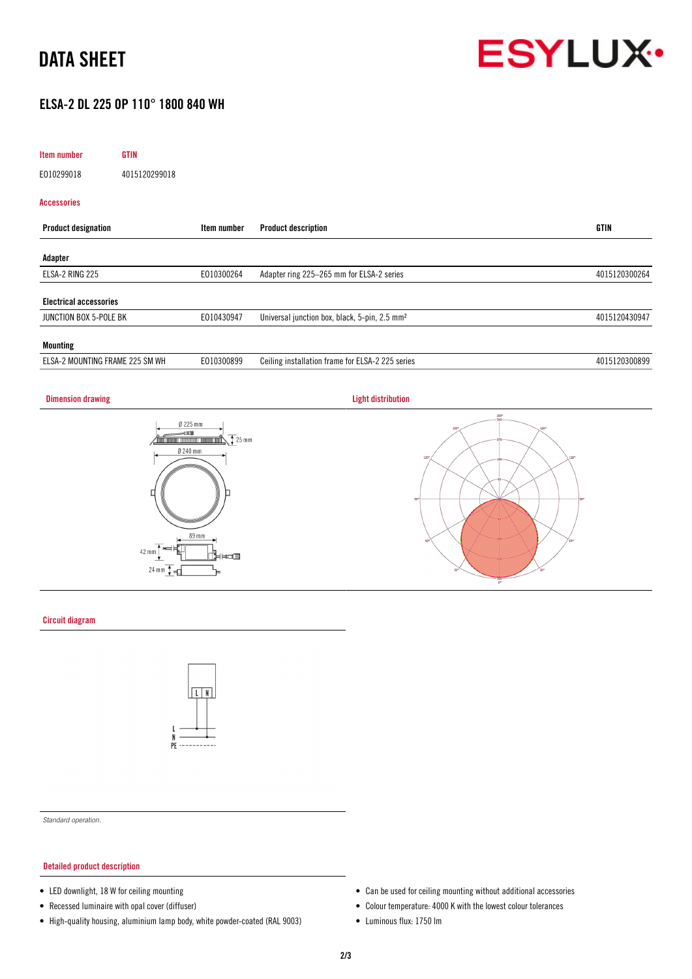

### ELSA-2 DL 225 OP 110° 1800 840 WH

| Item number                     | <b>GTIN</b>   |             |                                                           |               |
|---------------------------------|---------------|-------------|-----------------------------------------------------------|---------------|
| E010299018                      | 4015120299018 |             |                                                           |               |
| <b>Accessories</b>              |               |             |                                                           |               |
| <b>Product designation</b>      |               | Item number | <b>Product description</b>                                | <b>GTIN</b>   |
| Adapter                         |               |             |                                                           |               |
| ELSA-2 RING 225                 |               | E010300264  | Adapter ring 225-265 mm for ELSA-2 series                 | 4015120300264 |
| <b>Electrical accessories</b>   |               |             |                                                           |               |
| JUNCTION BOX 5-POLE BK          |               | E010430947  | Universal junction box, black, 5-pin, 2.5 mm <sup>2</sup> | 4015120430947 |
| <b>Mounting</b>                 |               |             |                                                           |               |
| ELSA-2 MOUNTING FRAME 225 SM WH |               | E010300899  | Ceiling installation frame for ELSA-2 225 series          | 4015120300899 |

#### **Dimension drawing Community Community Community Community Community Community Community Community Community Community Community Community Community Community Community Community Community Community Community Community Com**







#### Circuit diagram



*Standard operation.*

#### Detailed product description

- LED downlight, 18 W for ceiling mounting
- Recessed luminaire with opal cover (diffuser)
- High-quality housing, aluminium lamp body, white powder-coated (RAL 9003)
- Can be used for ceiling mounting without additional accessories
- Colour temperature: 4000 K with the lowest colour tolerances
- Luminous flux: 1750 lm